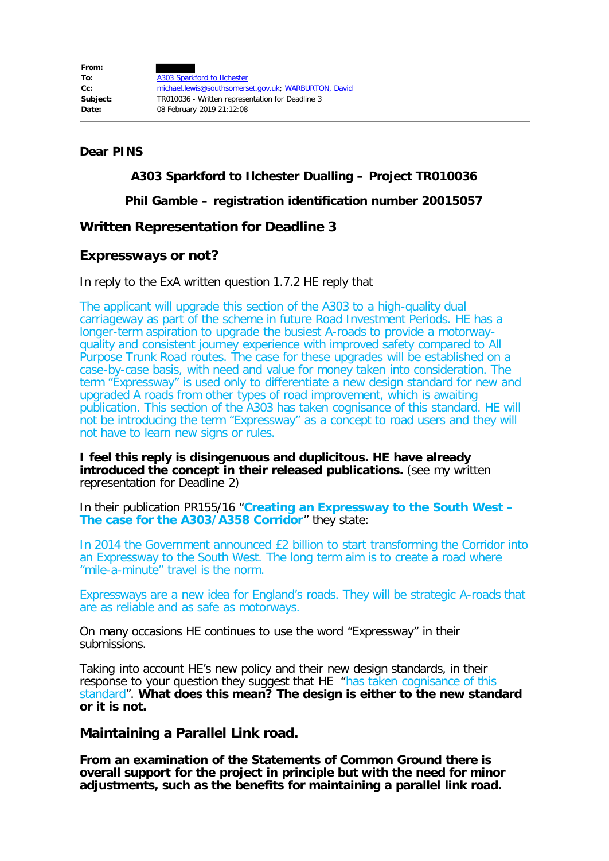## **Dear PINS**

# **A303 Sparkford to Ilchester Dualling – Project TR010036**

**Phil Gamble – registration identification number 20015057**

# **Written Representation for Deadline 3**

## **Expressways or not?**

In reply to the ExA written question 1.7.2 HE reply that

The applicant will upgrade this section of the A303 to a high-quality dual carriageway as part of the scheme in future Road Investment Periods. HE has a longer-term aspiration to upgrade the busiest A-roads to provide a motorwayquality and consistent journey experience with improved safety compared to All Purpose Trunk Road routes. The case for these upgrades will be established on a case-by-case basis, with need and value for money taken into consideration. The term "Expressway" is used only to differentiate a new design standard for new and upgraded A roads from other types of road improvement, which is awaiting publication. This section of the A303 has taken cognisance of this standard. HE will not be introducing the term "Expressway" as a concept to road users and they will not have to learn new signs or rules.

**I feel this reply is disingenuous and duplicitous. HE have already introduced the concept in their released publications.** (see my written representation for Deadline 2)

In their publication PR155/16 "**Creating an Expressway to the South West – The case for the A303/A358 Corridor**" they state:

In 2014 the Government announced £2 billion to start transforming the Corridor into an Expressway to the South West. The long term aim is to create a road where "mile-a-minute" travel is the norm.

Expressways are a new idea for England's roads. They will be strategic A-roads that are as reliable and as safe as motorways.

On many occasions HE continues to use the word "Expressway" in their submissions.

Taking into account HE's new policy and their new design standards, in their response to your question they suggest that HE "has taken cognisance of this standard". **What does this mean? The design is either to the new standard or it is not.**

#### **Maintaining a Parallel Link road.**

**From an examination of the Statements of Common Ground there is overall support for the project in principle but with the need for minor adjustments, such as the benefits for maintaining a parallel link road.**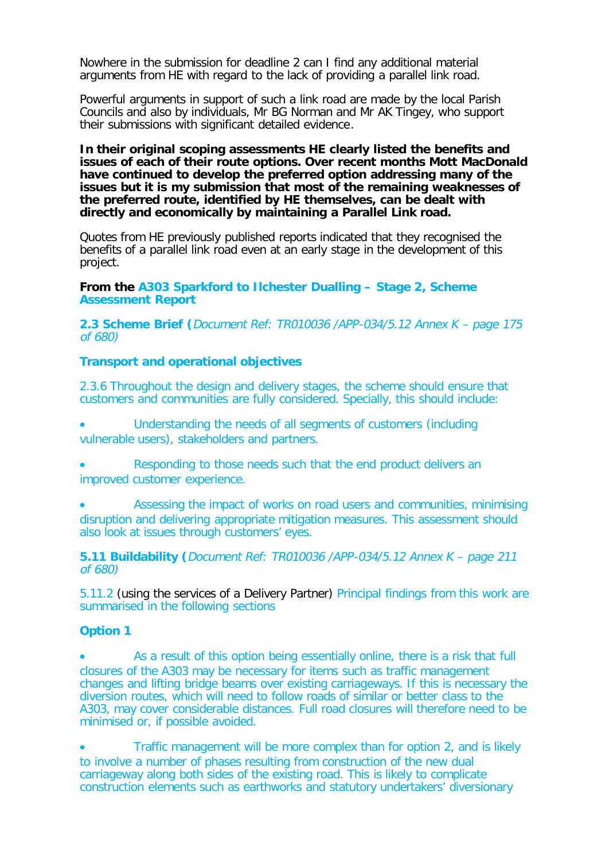Nowhere in the submission for deadline 2 can I find any additional material arguments from HE with regard to the lack of providing a parallel link road.

Powerful arguments in support of such a link road are made by the local Parish Councils and also by individuals, Mr BG Norman and Mr AK Tingey, who support their submissions with significant detailed evidence.

**In their original scoping assessments HE clearly listed the benefits and issues of each of their route options. Over recent months Mott MacDonald have continued to develop the preferred option addressing many of the issues but it is my submission that most of the remaining weaknesses of the preferred route, identified by HE themselves, can be dealt with directly and economically by maintaining a Parallel Link road.**

Quotes from HE previously published reports indicated that they recognised the benefits of a parallel link road even at an early stage in the development of this project.

**From the A303 Sparkford to Ilchester Dualling – Stage 2, Scheme Assessment Report**

**2.3 Scheme Brief (**Document Ref: TR010036 /APP-034/5.12 Annex K – page 175 of 680)

## **Transport and operational objectives**

2.3.6 Throughout the design and delivery stages, the scheme should ensure that customers and communities are fully considered. Specially, this should include:

Understanding the needs of all segments of customers (including vulnerable users), stakeholders and partners.

Responding to those needs such that the end product delivers an improved customer experience.

· Assessing the impact of works on road users and communities, minimising disruption and delivering appropriate mitigation measures. This assessment should also look at issues through customers' eyes.

**5.11 Buildability (**Document Ref: TR010036 /APP-034/5.12 Annex K – page 211 of 680)

5.11.2 (using the services of a Delivery Partner) Principal findings from this work are summarised in the following sections

# **Option 1**

As a result of this option being essentially online, there is a risk that full closures of the A303 may be necessary for items such as traffic management changes and lifting bridge beams over existing carriageways. If this is necessary the diversion routes, which will need to follow roads of similar or better class to the A303, may cover considerable distances. Full road closures will therefore need to be minimised or, if possible avoided.

Traffic management will be more complex than for option 2, and is likely to involve a number of phases resulting from construction of the new dual carriageway along both sides of the existing road. This is likely to complicate construction elements such as earthworks and statutory undertakers' diversionary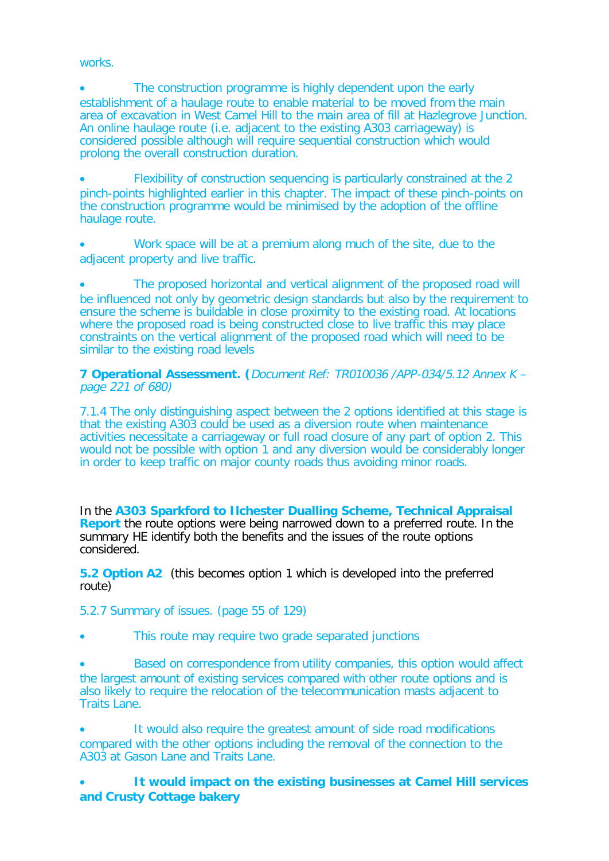works.

The construction programme is highly dependent upon the early establishment of a haulage route to enable material to be moved from the main area of excavation in West Camel Hill to the main area of fill at Hazlegrove Junction. An online haulage route (i.e. adjacent to the existing A303 carriageway) is considered possible although will require sequential construction which would prolong the overall construction duration.

Flexibility of construction sequencing is particularly constrained at the 2 pinch-points highlighted earlier in this chapter. The impact of these pinch-points on the construction programme would be minimised by the adoption of the offline haulage route.

Work space will be at a premium along much of the site, due to the adjacent property and live traffic.

The proposed horizontal and vertical alignment of the proposed road will be influenced not only by geometric design standards but also by the requirement to ensure the scheme is buildable in close proximity to the existing road. At locations where the proposed road is being constructed close to live traffic this may place constraints on the vertical alignment of the proposed road which will need to be similar to the existing road levels

**7 Operational Assessment. (**Document Ref: TR010036 /APP-034/5.12 Annex K – page 221 of 680)

7.1.4 The only distinguishing aspect between the 2 options identified at this stage is that the existing A303 could be used as a diversion route when maintenance activities necessitate a carriageway or full road closure of any part of option 2. This would not be possible with option 1 and any diversion would be considerably longer in order to keep traffic on major county roads thus avoiding minor roads.

In the **A303 Sparkford to Ilchester Dualling Scheme, Technical Appraisal Report** the route options were being narrowed down to a preferred route. In the summary HE identify both the benefits and the issues of the route options considered.

**5.2 Option A2** (this becomes option 1 which is developed into the preferred route)

5.2.7 Summary of issues. (page 55 of 129)

This route may require two grade separated junctions

Based on correspondence from utility companies, this option would affect the largest amount of existing services compared with other route options and is also likely to require the relocation of the telecommunication masts adjacent to Traits Lane.

It would also require the greatest amount of side road modifications compared with the other options including the removal of the connection to the A303 at Gason Lane and Traits Lane.

· **It would impact on the existing businesses at Camel Hill services and Crusty Cottage bakery**